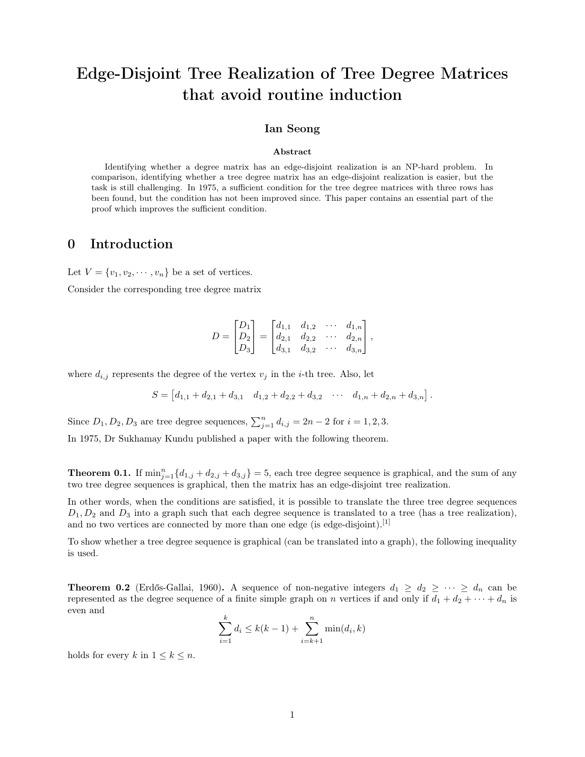# Edge-Disjoint Tree Realization of Tree Degree Matrices that avoid routine induction

#### Ian Seong

#### Abstract

Identifying whether a degree matrix has an edge-disjoint realization is an NP-hard problem. In comparison, identifying whether a tree degree matrix has an edge-disjoint realization is easier, but the task is still challenging. In 1975, a sufficient condition for the tree degree matrices with three rows has been found, but the condition has not been improved since. This paper contains an essential part of the proof which improves the sufficient condition.

## 0 Introduction

Let  $V = \{v_1, v_2, \dots, v_n\}$  be a set of vertices.

Consider the corresponding tree degree matrix

$$
D = \begin{bmatrix} D_1 \\ D_2 \\ D_3 \end{bmatrix} = \begin{bmatrix} d_{1,1} & d_{1,2} & \cdots & d_{1,n} \\ d_{2,1} & d_{2,2} & \cdots & d_{2,n} \\ d_{3,1} & d_{3,2} & \cdots & d_{3,n} \end{bmatrix},
$$

where  $d_{i,j}$  represents the degree of the vertex  $v_j$  in the *i*-th tree. Also, let

$$
S = \begin{bmatrix} d_{1,1} + d_{2,1} + d_{3,1} & d_{1,2} + d_{2,2} + d_{3,2} & \cdots & d_{1,n} + d_{2,n} + d_{3,n} \end{bmatrix}.
$$

Since  $D_1, D_2, D_3$  are tree degree sequences,  $\sum_{j=1}^n d_{i,j} = 2n - 2$  for  $i = 1, 2, 3$ .

In 1975, Dr Sukhamay Kundu published a paper with the following theorem.

**Theorem 0.1.** If  $\min_{j=1}^{n} \{d_{1,j} + d_{2,j} + d_{3,j}\} = 5$ , each tree degree sequence is graphical, and the sum of any two tree degree sequences is graphical, then the matrix has an edge-disjoint tree realization.

In other words, when the conditions are satisfied, it is possible to translate the three tree degree sequences  $D_1, D_2$  and  $D_3$  into a graph such that each degree sequence is translated to a tree (has a tree realization), and no two vertices are connected by more than one edge (is edge-disjoint).<sup>[1]</sup>

To show whether a tree degree sequence is graphical (can be translated into a graph), the following inequality is used.

**Theorem 0.2** (Erdős-Gallai, 1960). A sequence of non-negative integers  $d_1 \geq d_2 \geq \cdots \geq d_n$  can be represented as the degree sequence of a finite simple graph on n vertices if and only if  $d_1 + d_2 + \cdots + d_n$  is even and

$$
\sum_{i=1}^{k} d_i \le k(k-1) + \sum_{i=k+1}^{n} \min(d_i, k)
$$

holds for every k in  $1 \leq k \leq n$ .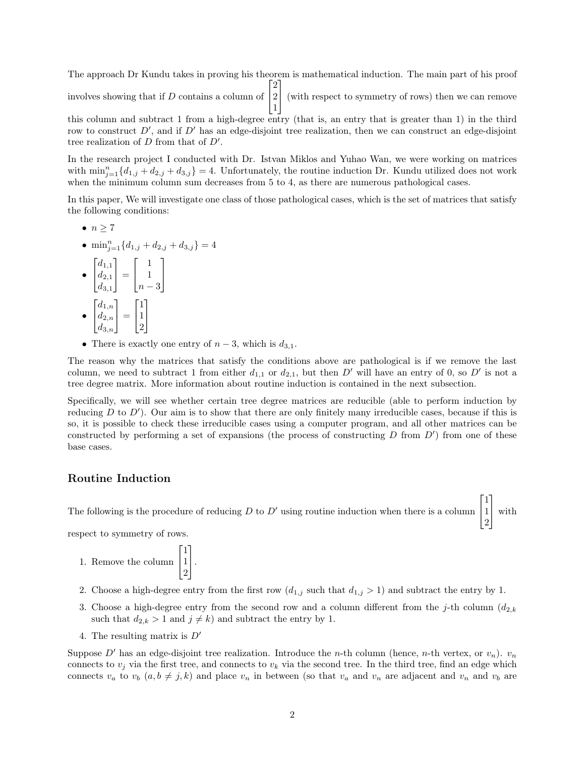The approach Dr Kundu takes in proving his theorem is mathematical induction. The main part of his proof involves showing that if D contains a column of  $\lceil$  $\overline{\phantom{a}}$ 2 2 1 (with respect to symmetry of rows) then we can remove

this column and subtract 1 from a high-degree entry (that is, an entry that is greater than 1) in the third row to construct  $D'$ , and if  $D'$  has an edge-disjoint tree realization, then we can construct an edge-disjoint tree realization of  $D$  from that of  $D'$ .

1

In the research project I conducted with Dr. Istvan Miklos and Yuhao Wan, we were working on matrices with  $\min_{j=1}^{n} \{d_{1,j} + d_{2,j} + d_{3,j}\} = 4$ . Unfortunately, the routine induction Dr. Kundu utilized does not work when the minimum column sum decreases from 5 to 4, as there are numerous pathological cases.

In this paper, We will investigate one class of those pathological cases, which is the set of matrices that satisfy the following conditions:

- $\bullet$   $n > 7$
- $\min_{j=1}^{n} \{d_{1,j} + d_{2,j} + d_{3,j}\} = 4$
- $\lceil$  $\overline{1}$  $d_{1,1}$  $d_{2,1}$  $d_{3,1}$ 1  $\vert$  =  $\lceil$  $\overline{1}$ 1 1  $n-3$ 1  $\overline{1}$ •  $\lceil$  $\overline{1}$  $d_{1,n}$  $d_{2,n}$  $d_{3,n}$ 1  $\vert$  =  $\lceil$  $\overline{1}$ 1 1 2 1  $\overline{1}$
- There is exactly one entry of  $n-3$ , which is  $d_{3,1}$ .

The reason why the matrices that satisfy the conditions above are pathological is if we remove the last column, we need to subtract 1 from either  $d_{1,1}$  or  $d_{2,1}$ , but then D' will have an entry of 0, so D' is not a tree degree matrix. More information about routine induction is contained in the next subsection.

Specifically, we will see whether certain tree degree matrices are reducible (able to perform induction by reducing  $D$  to  $D'$ ). Our aim is to show that there are only finitely many irreducible cases, because if this is so, it is possible to check these irreducible cases using a computer program, and all other matrices can be constructed by performing a set of expansions (the process of constructing  $D$  from  $D'$ ) from one of these base cases.

### Routine Induction

The following is the procedure of reducing  $D$  to  $D'$  using routine induction when there is a column  $\overline{1}$ 1 with

 $\lceil$ 

1

1

2

respect to symmetry of rows.

- 1. Remove the column  $\lceil$  $\overline{\phantom{a}}$ 1 1 2 1  $\vert \cdot$
- 2. Choose a high-degree entry from the first row  $(d_{1,j} \text{ such that } d_{1,j} > 1)$  and subtract the entry by 1.
- 3. Choose a high-degree entry from the second row and a column different from the j-th column  $(d_{2,k})$ such that  $d_{2,k} > 1$  and  $j \neq k$ ) and subtract the entry by 1.
- 4. The resulting matrix is  $D'$

Suppose D' has an edge-disjoint tree realization. Introduce the n-th column (hence, n-th vertex, or  $v_n$ ).  $v_n$ connects to  $v_i$  via the first tree, and connects to  $v_k$  via the second tree. In the third tree, find an edge which connects  $v_a$  to  $v_b$   $(a, b \neq j, k)$  and place  $v_n$  in between (so that  $v_a$  and  $v_n$  are adjacent and  $v_n$  and  $v_b$  are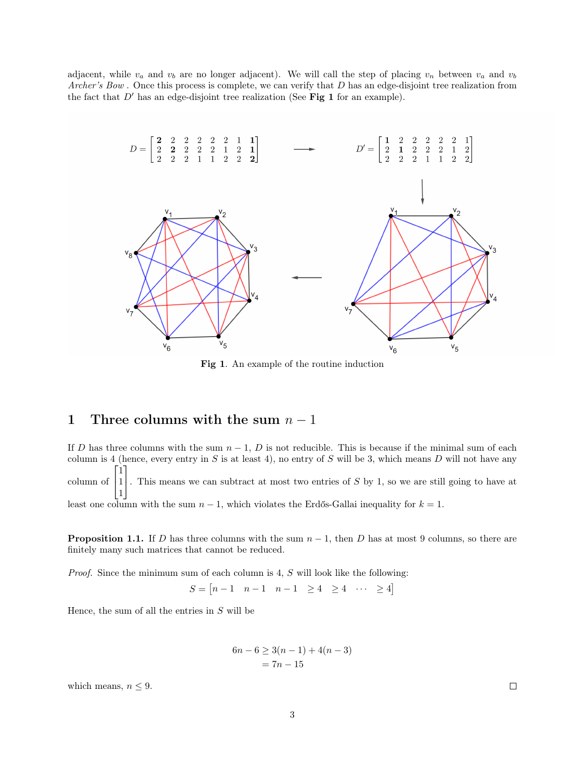adjacent, while  $v_a$  and  $v_b$  are no longer adjacent). We will call the step of placing  $v_n$  between  $v_a$  and  $v_b$ Archer's Bow. Once this process is complete, we can verify that D has an edge-disjoint tree realization from the fact that  $D'$  has an edge-disjoint tree realization (See Fig 1 for an example).



Fig 1. An example of the routine induction

## 1 Three columns with the sum  $n-1$

If D has three columns with the sum  $n-1$ , D is not reducible. This is because if the minimal sum of each column is 4 (hence, every entry in  $S$  is at least 4), no entry of  $S$  will be 3, which means  $D$  will not have any column of  $\lceil$  $\overline{1}$ 1 1 1 1 . This means we can subtract at most two entries of <sup>S</sup> by <sup>1</sup>, so we are still going to have at least one column with the sum  $n-1$ , which violates the Erdős-Gallai inequality for  $k = 1$ .

**Proposition 1.1.** If D has three columns with the sum  $n - 1$ , then D has at most 9 columns, so there are finitely many such matrices that cannot be reduced.

Proof. Since the minimum sum of each column is 4, S will look like the following:

 $S = \begin{bmatrix} n-1 & n-1 & n-1 & \geq 4 & \geq 4 & \cdots & \geq 4 \end{bmatrix}$ 

Hence, the sum of all the entries in  $S$  will be

$$
6n - 6 \ge 3(n - 1) + 4(n - 3)
$$
  
= 7n - 15

which means,  $n \leq 9$ .

 $\Box$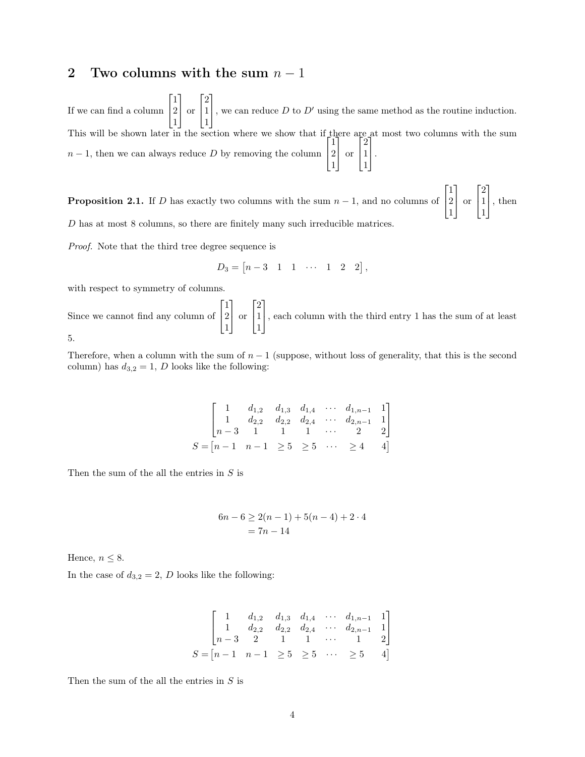## 2 Two columns with the sum  $n-1$

If we can find a column  $\lceil$  $\overline{\phantom{a}}$ 1 2 1 1 or  $\lceil$  $\overline{\phantom{a}}$ 2 1 1 1 , we can reduce  $D$  to  $D'$  using the same method as the routine induction. This will be shown later in the section where we show that if there are at most two columns with the sum  $n-1$ , then we can always reduce D by removing the column  $\lceil$  $\overline{1}$ 1 2 1 1 or  $\lceil$  $\overline{1}$ 2 1 1 1  $\vert \cdot$ 

**Proposition 2.1.** If D has exactly two columns with the sum  $n-1$ , and no columns of  $\lceil$  $\overline{\phantom{a}}$ 1 2 1 1 or  $\lceil$  $\overline{1}$ 2 1 1 1 , then D has at most 8 columns, so there are finitely many such irreducible matrices.

Proof. Note that the third tree degree sequence is

$$
D_3 = [n-3 \ 1 \ 1 \ \cdots \ 1 \ 2 \ 2],
$$

with respect to symmetry of columns.

Since we cannot find any column of  $\lceil$  $\overline{\phantom{a}}$ 1 2 1 1 or  $\lceil$  $\overline{1}$ 2 1 1 1 , each column with the third entry <sup>1</sup> has the sum of at least 5.

Therefore, when a column with the sum of  $n-1$  (suppose, without loss of generality, that this is the second column) has  $d_{3,2} = 1$ , D looks like the following:

$$
\begin{bmatrix}\n1 & d_{1,2} & d_{1,3} & d_{1,4} & \cdots & d_{1,n-1} & 1 \\
1 & d_{2,2} & d_{2,2} & d_{2,4} & \cdots & d_{2,n-1} & 1 \\
n-3 & 1 & 1 & 1 & \cdots & 2 & 2\n\end{bmatrix}
$$
\n
$$
S = \begin{bmatrix} n-1 & n-1 & \geq 5 & \geq 5 & \cdots & \geq 4 & 4 \end{bmatrix}
$$

Then the sum of the all the entries in  $S$  is

$$
6n - 6 \ge 2(n - 1) + 5(n - 4) + 2 \cdot 4
$$
  
= 7n - 14

Hence,  $n \leq 8$ .

In the case of  $d_{3,2} = 2$ , D looks like the following:

$$
\begin{bmatrix}\n1 & d_{1,2} & d_{1,3} & d_{1,4} & \cdots & d_{1,n-1} & 1 \\
1 & d_{2,2} & d_{2,2} & d_{2,4} & \cdots & d_{2,n-1} & 1 \\
n-3 & 2 & 1 & 1 & \cdots & 1 & 2\n\end{bmatrix}
$$
\n
$$
S = [n-1 \quad n-1 \geq 5 \geq 5 \cdots \geq 5 \quad 4]
$$

Then the sum of the all the entries in  $S$  is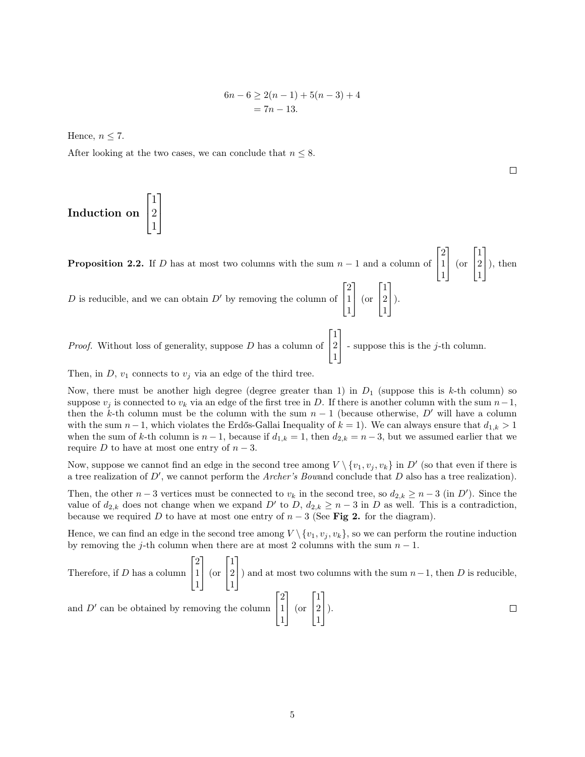$$
6n - 6 \ge 2(n - 1) + 5(n - 3) + 4
$$
  
= 7n - 13.

Hence,  $n \leq 7$ .

After looking at the two cases, we can conclude that  $n \leq 8$ .

Induction on  $\sqrt{ }$  $\overline{1}$ 1 2  $\begin{bmatrix} 2 \\ 1 \end{bmatrix}$ 1

**Proposition 2.2.** If D has at most two columns with the sum  $n-1$  and a column of  $\lceil$  $\overline{1}$ 2 1 1 1 (or  $\lceil$  $\overline{\phantom{a}}$ 1 2 1 1  $\bigg|$ , then D is reducible, and we can obtain  $D'$  by removing the column of  $\lceil$  $\overline{1}$ 2 1 1 1 (or  $\sqrt{ }$  $\overline{1}$ 1 2 1 1  $\bigg|$ ). Proof. Without loss of generality, suppose D has a column of  $\lceil$  $\overline{1}$ 1 2 1 1 - suppose this is the  $j$ -th column.

Then, in  $D$ ,  $v_1$  connects to  $v_j$  via an edge of the third tree.

Now, there must be another high degree (degree greater than 1) in  $D_1$  (suppose this is k-th column) so suppose  $v_i$  is connected to  $v_k$  via an edge of the first tree in D. If there is another column with the sum  $n-1$ , then the k-th column must be the column with the sum  $n-1$  (because otherwise, D' will have a column with the sum  $n-1$ , which violates the Erdős-Gallai Inequality of  $k = 1$ ). We can always ensure that  $d_{1,k} > 1$ when the sum of k-th column is  $n-1$ , because if  $d_{1,k} = 1$ , then  $d_{2,k} = n-3$ , but we assumed earlier that we require D to have at most one entry of  $n-3$ .

Now, suppose we cannot find an edge in the second tree among  $V \setminus \{v_1, v_j, v_k\}$  in  $D'$  (so that even if there is a tree realization of  $D'$ , we cannot perform the Archer's Bowand conclude that D also has a tree realization).

Then, the other  $n-3$  vertices must be connected to  $v_k$  in the second tree, so  $d_{2,k} \geq n-3$  (in D'). Since the value of  $d_{2,k}$  does not change when we expand D' to D,  $d_{2,k} \geq n-3$  in D as well. This is a contradiction, because we required D to have at most one entry of  $n-3$  (See Fig 2. for the diagram).

Hence, we can find an edge in the second tree among  $V \setminus \{v_1, v_j, v_k\}$ , so we can perform the routine induction by removing the j-th column when there are at most 2 columns with the sum  $n-1$ .

Therefore, if *D* has a column 
$$
\begin{bmatrix} 2 \\ 1 \\ 1 \end{bmatrix}
$$
 (or  $\begin{bmatrix} 1 \\ 2 \\ 1 \end{bmatrix}$ ) and at most two columns with the sum  $n - 1$ , then *D* is reducible,  
and *D'* can be obtained by removing the column  $\begin{bmatrix} 2 \\ 1 \\ 1 \end{bmatrix}$  (or  $\begin{bmatrix} 1 \\ 2 \\ 1 \end{bmatrix}$ ).

 $\Box$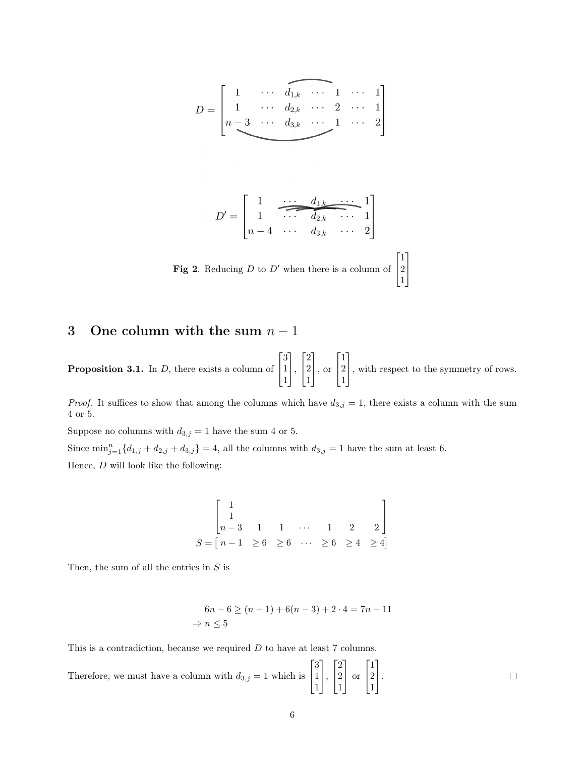$$
D=\left[\begin{matrix}1&\cdots&\overbrace{d_{1,k}}&\cdots&1&\cdots&1\\1&\cdots&d_{2,k}&\cdots&2&\cdots&1\\n-3&\cdots&d_{3,k}&\cdots&1&\cdots&2\end{matrix}\right]
$$

$$
D' = \begin{bmatrix} 1 & \cdots & d_{1,k} & \cdots & 1 \\ 1 & \cdots & \cdots & 1 \\ n-4 & \cdots & d_{3,k} & \cdots & 2 \end{bmatrix}
$$
  
Fig 2. Reducing *D* to *D'* when there is a column of  $\begin{bmatrix} 1 \\ 2 \\ 1 \end{bmatrix}$ 

## 3 One column with the sum  $n-1$

**Proposition 3.1.** In  $D$ , there exists a column of  $\sqrt{ }$  $\overline{1}$ 3 1 1 1  $\vert$ ,  $\sqrt{ }$  $\overline{1}$ 2 2 1 1 , or  $\sqrt{ }$  $\overline{1}$ 1 2 1 1 , with respect to the symmetry of rows.

*Proof.* It suffices to show that among the columns which have  $d_{3,j} = 1$ , there exists a column with the sum  $4$  or  $5.$ 

Suppose no columns with  $d_{3,j} = 1$  have the sum  $4$  or  $5.$ 

Since  $\min_{j=1}^{n} \{d_{1,j} + d_{2,j} + d_{3,j}\} = 4$ , all the columns with  $d_{3,j} = 1$  have the sum at least 6.

Hence,  $D$  will look like the following:

$$
\begin{bmatrix} 1 & & & & \\ 1 & & & & \\ n-3 & 1 & 1 & \cdots & 1 & 2 & 2 \end{bmatrix}
$$
  

$$
S = \begin{bmatrix} n-1 & \geq 6 & \geq 6 & \cdots & \geq 6 & \geq 4 & \geq 4 \end{bmatrix}
$$

Then, the sum of all the entries in  $S$  is

$$
6n - 6 \ge (n - 1) + 6(n - 3) + 2 \cdot 4 = 7n - 11
$$
  
\n
$$
\Rightarrow n \le 5
$$

This is a contradiction, because we required D to have at least 7 columns.

 $\lceil$ 1  $\lceil$ 1  $\lceil$ 1 3 2 1 Therefore, we must have a column with  $d_{3,j} = 1$  which is 1  $\vert \cdot$ 2 or 2  $\vert \cdot$  $\Box$  $\overline{1}$  $\overline{1}$  $\overline{1}$ 1 1 1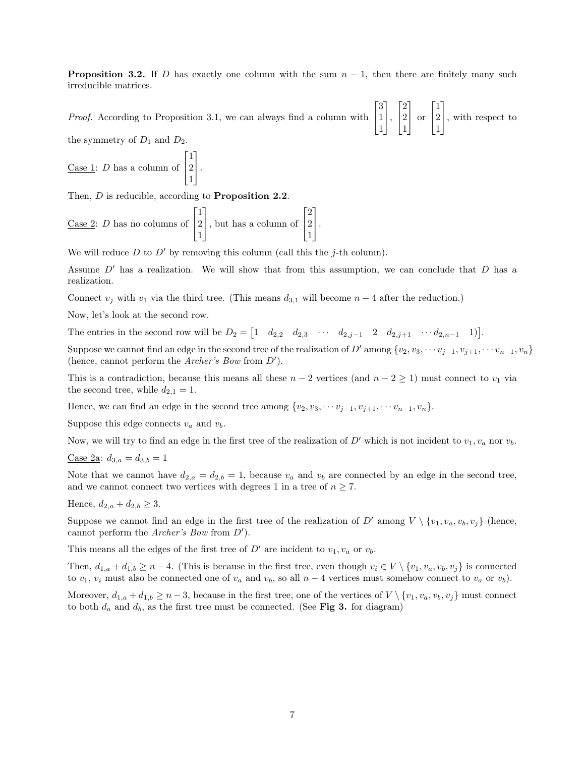**Proposition 3.2.** If D has exactly one column with the sum  $n - 1$ , then there are finitely many such irreducible matrices.

Proof. According to Proposition 3.1, we can always find a column with  $\lceil$  $\overline{1}$ 3 1 1 1  $\vert$ ,  $\lceil$  $\overline{\phantom{a}}$ 2 2 1 1 or  $\lceil$  $\overline{1}$ 1 2 1 1 , with respect to

the symmetry of  $D_1$  and  $D_2$ .

<u>Case 1</u>: *D* has a column of  $\lceil$  $\overline{1}$ 1 2 1 1  $\vert \cdot$ 

Then, D is reducible, according to **Proposition 2.2**.

Case 2: D has no columns of  $\lceil$  $\overline{1}$ 1 2 1 1 , but has a column of  $\lceil$  $\overline{1}$ 2 2 1 1  $\vert \cdot$ 

We will reduce D to D' by removing this column (call this the j-th column).

Assume  $D'$  has a realization. We will show that from this assumption, we can conclude that  $D$  has a realization.

Connect  $v_j$  with  $v_1$  via the third tree. (This means  $d_{3,1}$  will become  $n-4$  after the reduction.)

Now, let's look at the second row.

The entries in the second row will be  $D_2 = \begin{bmatrix} 1 & d_{2,2} & d_{2,3} & \cdots & d_{2,j-1} & 2 & d_{2,j+1} & \cdots & d_{2,n-1} & 1 \end{bmatrix}$ .

Suppose we cannot find an edge in the second tree of the realization of D' among  $\{v_2, v_3, \cdots v_{i-1}, v_{i+1}, \cdots v_{n-1}, v_n\}$ (hence, cannot perform the Archer's Bow from  $D'$ ).

This is a contradiction, because this means all these  $n-2$  vertices (and  $n-2 \geq 1$ ) must connect to  $v_1$  via the second tree, while  $d_{2,1} = 1$ .

Hence, we can find an edge in the second tree among  $\{v_2, v_3, \cdots v_{j-1}, v_{j+1}, \cdots v_{n-1}, v_n\}$ .

Suppose this edge connects  $v_a$  and  $v_b$ .

Now, we will try to find an edge in the first tree of the realization of D' which is not incident to  $v_1, v_a$  nor  $v_b$ .

$$
Case 2a: d_{3,a} = d_{3,b} = 1
$$

Note that we cannot have  $d_{2,a} = d_{2,b} = 1$ , because  $v_a$  and  $v_b$  are connected by an edge in the second tree, and we cannot connect two vertices with degrees 1 in a tree of  $n \geq 7$ .

Hence,  $d_{2,a} + d_{2,b} \geq 3$ .

Suppose we cannot find an edge in the first tree of the realization of D' among  $V \setminus \{v_1, v_a, v_b, v_j\}$  (hence, cannot perform the Archer's Bow from  $D'$ ).

This means all the edges of the first tree of  $D'$  are incident to  $v_1, v_a$  or  $v_b$ .

Then,  $d_{1,a} + d_{1,b} \ge n-4$ . (This is because in the first tree, even though  $v_i \in V \setminus \{v_1, v_a, v_b, v_j\}$  is connected to  $v_1, v_i$  must also be connected one of  $v_a$  and  $v_b$ , so all  $n-4$  vertices must somehow connect to  $v_a$  or  $v_b$ ).

Moreover,  $d_{1,a} + d_{1,b} \geq n-3$ , because in the first tree, one of the vertices of  $V \setminus \{v_1, v_a, v_b, v_j\}$  must connect to both  $d_a$  and  $d_b$ , as the first tree must be connected. (See Fig 3. for diagram)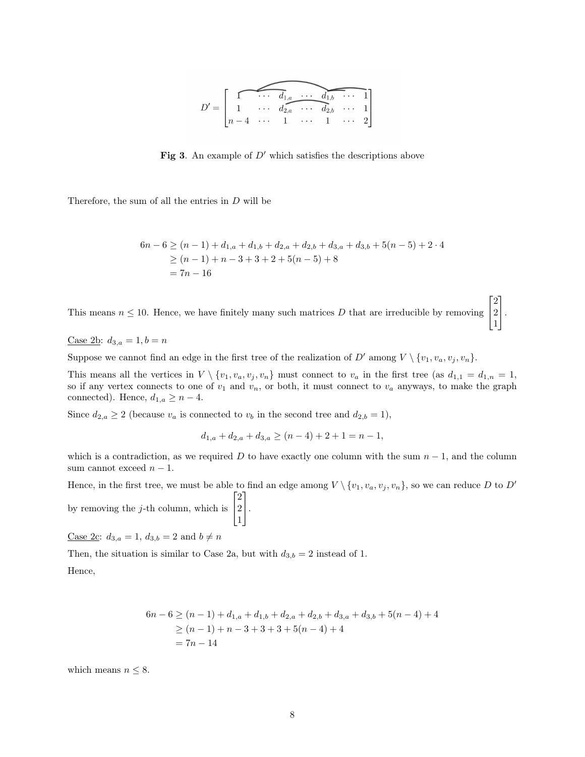

**Fig 3.** An example of  $D'$  which satisfies the descriptions above

Therefore, the sum of all the entries in D will be

$$
6n - 6 \ge (n - 1) + d_{1,a} + d_{1,b} + d_{2,a} + d_{2,b} + d_{3,a} + d_{3,b} + 5(n - 5) + 2 \cdot 4
$$
  
\n
$$
\ge (n - 1) + n - 3 + 3 + 2 + 5(n - 5) + 8
$$
  
\n
$$
= 7n - 16
$$

 $\lceil$ 

2

1

This means  $n \leq 10$ . Hence, we have finitely many such matrices D that are irreducible by removing  $\overline{1}$ 2 1  $\vert \cdot$ 

Case 2b:  $d_{3,a} = 1, b = n$ 

Suppose we cannot find an edge in the first tree of the realization of D' among  $V \setminus \{v_1, v_a, v_j, v_n\}.$ 

This means all the vertices in  $V \setminus \{v_1, v_a, v_j, v_n\}$  must connect to  $v_a$  in the first tree (as  $d_{1,1} = d_{1,n} = 1$ , so if any vertex connects to one of  $v_1$  and  $v_n$ , or both, it must connect to  $v_a$  anyways, to make the graph connected). Hence,  $d_{1,a} \geq n-4$ .

Since  $d_{2,a} \geq 2$  (because  $v_a$  is connected to  $v_b$  in the second tree and  $d_{2,b} = 1$ ),

$$
d_{1,a} + d_{2,a} + d_{3,a} \ge (n-4) + 2 + 1 = n - 1,
$$

which is a contradiction, as we required D to have exactly one column with the sum  $n - 1$ , and the column sum cannot exceed  $n-1$ .

Hence, in the first tree, we must be able to find an edge among  $V \setminus \{v_1, v_a, v_j, v_n\}$ , so we can reduce D to D'

by removing the j-th column, which is  $\lceil$  $\overline{\phantom{a}}$ 2 2 1 1  $\vert \cdot$ 

<u>Case 2c</u>:  $d_{3,a} = 1$ ,  $d_{3,b} = 2$  and  $b \neq n$ 

Then, the situation is similar to Case 2a, but with  $d_{3,b} = 2$  instead of 1.

Hence,

$$
6n - 6 \ge (n - 1) + d_{1,a} + d_{1,b} + d_{2,a} + d_{2,b} + d_{3,a} + d_{3,b} + 5(n - 4) + 4
$$
  
\n
$$
\ge (n - 1) + n - 3 + 3 + 3 + 5(n - 4) + 4
$$
  
\n
$$
= 7n - 14
$$

which means  $n \leq 8$ .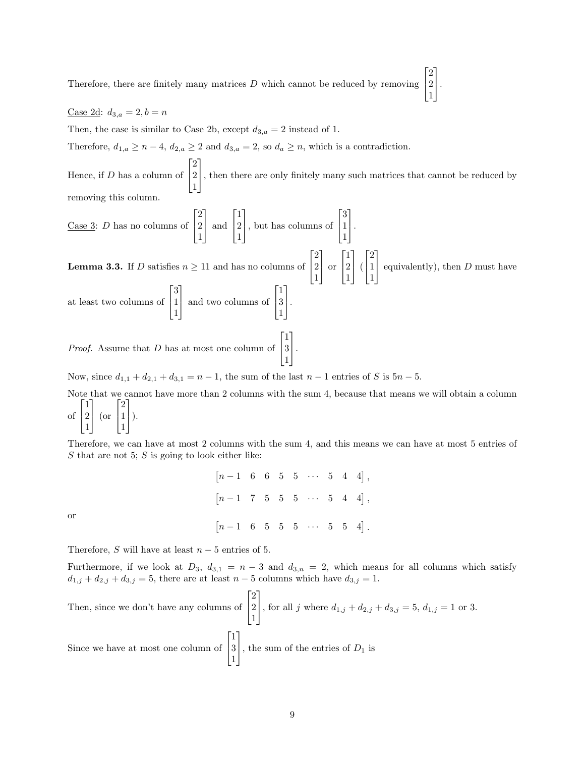Therefore, there are finitely many matrices  $D$  which cannot be reduced by removing  $\overline{1}$ 2  $\vert \cdot$ 

 $\lceil$ 

2

1

1

#### Case 2d:  $d_{3,a} = 2, b = n$

Then, the case is similar to Case 2b, except  $d_{3,a} = 2$  instead of 1.

Therefore,  $d_{1,a} \geq n-4$ ,  $d_{2,a} \geq 2$  and  $d_{3,a} = 2$ , so  $d_a \geq n$ , which is a contradiction.

Hence, if D has a column of  $\lceil$  $\overline{1}$ 2 2 1 1 , then there are only finitely many such matrices that cannot be reduced by removing this column.

Case 3: *D* has no columns of 
$$
\begin{bmatrix} 2 \\ 2 \\ 1 \end{bmatrix}
$$
 and  $\begin{bmatrix} 1 \\ 2 \\ 1 \end{bmatrix}$ , but has columns of  $\begin{bmatrix} 3 \\ 1 \\ 1 \end{bmatrix}$ .  
\n**Lemma 3.3.** If *D* satisfies  $n \ge 11$  and has no columns of  $\begin{bmatrix} 2 \\ 2 \\ 1 \end{bmatrix}$  or  $\begin{bmatrix} 1 \\ 2 \\ 1 \end{bmatrix}$  ( $\begin{bmatrix} 2 \\ 1 \\ 1 \end{bmatrix}$  equivalently), then *D* must have at least two columns of  $\begin{bmatrix} 3 \\ 1 \\ 1 \end{bmatrix}$  and two columns of  $\begin{bmatrix} 1 \\ 3 \\ 1 \end{bmatrix}$ .

Proof. Assume that D has at most one column of  $\lceil$  $\overline{1}$ 1 3 1 1  $\vert \cdot$ 

Now, since  $d_{1,1} + d_{2,1} + d_{3,1} = n - 1$ , the sum of the last  $n - 1$  entries of S is  $5n - 5$ .

Note that we cannot have more than 2 columns with the sum 4, because that means we will obtain a column of  $\lceil$  $\overline{\phantom{a}}$ 1 2 1 1 (or  $\lceil$  $\overline{1}$ 2 1 1 1  $\bigg|$ ).

Therefore, we can have at most 2 columns with the sum 4, and this means we can have at most 5 entries of  $S$  that are not 5;  $S$  is going to look either like:

| $[n-1 \ 6 \ 6 \ 5 \ 5 \ \cdots \ 5 \ 4 \ 4],$                             |  |  |  |  |
|---------------------------------------------------------------------------|--|--|--|--|
| $\begin{bmatrix} n-1 & 7 & 5 & 5 & 5 & \cdots & 5 & 4 & 4 \end{bmatrix},$ |  |  |  |  |
| $\begin{bmatrix} n-1 & 6 & 5 & 5 & 5 & \cdots & 5 & 5 & 4 \end{bmatrix}.$ |  |  |  |  |

or

Therefore, S will have at least  $n-5$  entries of 5.

Furthermore, if we look at  $D_3$ ,  $d_{3,1} = n - 3$  and  $d_{3,n} = 2$ , which means for all columns which satisfy  $d_{1,j} + d_{2,j} + d_{3,j} = 5$ , there are at least  $n - 5$  columns which have  $d_{3,j} = 1$ .

Then, since we don't have any columns of 
$$
\begin{bmatrix} 2 \\ 2 \\ 1 \end{bmatrix}
$$
, for all  $j$  where  $d_{1,j} + d_{2,j} + d_{3,j} = 5$ ,  $d_{1,j} = 1$  or 3.  
Since we have at most one column of  $\begin{bmatrix} 1 \\ 3 \\ 1 \end{bmatrix}$ , the sum of the entries of  $D_1$  is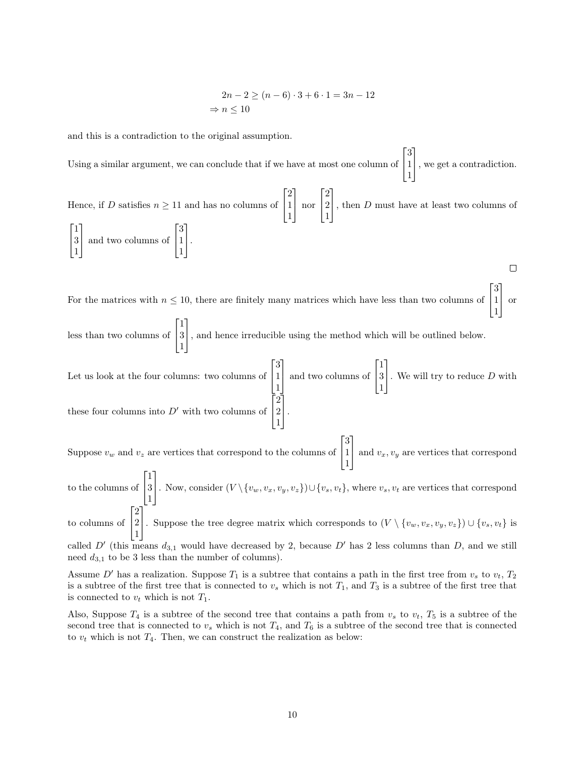$$
2n - 2 \ge (n - 6) \cdot 3 + 6 \cdot 1 = 3n - 12
$$
  
\n
$$
\Rightarrow n \le 10
$$

and this is a contradiction to the original assumption.

 $\lceil$ 1 3 Using a similar argument, we can conclude that if we have at most one column of 1 , we get a contradiction.  $\overline{\phantom{a}}$ 1  $\lceil$ 2 1  $\lceil$ 2 1 Hence, if D satisfies  $n \geq 11$  and has no columns of 1 nor 2 , then  $D$  must have at least two columns of  $\overline{1}$  $\overline{1}$ 1 1  $\sqrt{ }$ 1  $\sqrt{ }$ 1 1 3 3 | and two columns of 1  $\vert \cdot$  $\overline{1}$  $\overline{\phantom{a}}$ 1 1  $\Box$ 

For the matrices with  $n \leq 10$ , there are finitely many matrices which have less than two columns of  $\lceil$  $\overline{1}$ 3 1 1 1 or

less than two columns of  $\sqrt{ }$  $\overline{1}$ 1 3 1 1 , and hence irreducible using the method which will be outlined below.

Let us look at the four columns: two columns of  $\lceil$  $\overline{1}$ 3 1 1 1 | and two columns of  $\lceil$  $\overline{1}$ 1 3 1 1 . We will try to reduce  $D$  with these four columns into  $D'$  with two columns of  $\lceil$  $\overline{\phantom{a}}$ 2 2 1 1  $\vert \cdot$ 

Suppose  $v_w$  and  $v_z$  are vertices that correspond to the columns of  $\lceil$  $\overline{1}$ 3 1 1 1 and  $v_x, v_y$  are vertices that correspond

to the columns of  $\lceil$  $\overline{1}$ 1 3 1 1 . Now, consider  $(V \setminus \{v_w, v_x, v_y, v_z\}) \cup \{v_s, v_t\}$ , where  $v_s, v_t$  are vertices that correspond  $\lceil$ 2 1

to columns of  $\overline{1}$ 2 1 . Suppose the tree degree matrix which corresponds to  $(V \setminus \{v_w, v_x, v_y, v_z\}) \cup \{v_s, v_t\}$  is

called D' (this means  $d_{3,1}$  would have decreased by 2, because D' has 2 less columns than D, and we still need  $d_{3,1}$  to be 3 less than the number of columns).

Assume D' has a realization. Suppose  $T_1$  is a subtree that contains a path in the first tree from  $v_s$  to  $v_t$ ,  $T_2$ is a subtree of the first tree that is connected to  $v<sub>s</sub>$  which is not  $T<sub>1</sub>$ , and  $T<sub>3</sub>$  is a subtree of the first tree that is connected to  $v_t$  which is not  $T_1$ .

Also, Suppose  $T_4$  is a subtree of the second tree that contains a path from  $v_s$  to  $v_t$ ,  $T_5$  is a subtree of the second tree that is connected to  $v_s$  which is not  $T_4$ , and  $T_6$  is a subtree of the second tree that is connected to  $v_t$  which is not  $T_4$ . Then, we can construct the realization as below: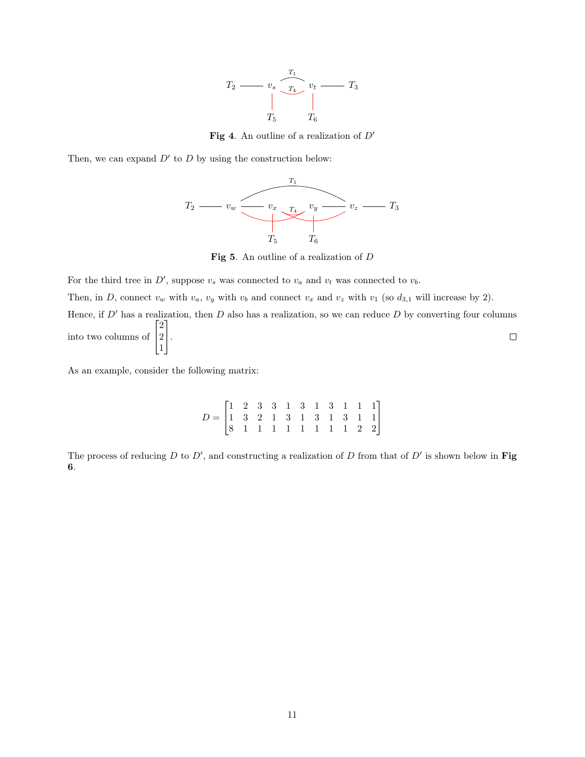

Fig 4. An outline of a realization of  $D'$ 

Then, we can expand  $D'$  to D by using the construction below:



Fig 5. An outline of a realization of D

For the third tree in  $D'$ , suppose  $v_s$  was connected to  $v_a$  and  $v_t$  was connected to  $v_b$ .

Then, in D, connect  $v_w$  with  $v_a$ ,  $v_y$  with  $v_b$  and connect  $v_x$  and  $v_z$  with  $v_1$  (so  $d_{3,1}$  will increase by 2).

Hence, if  $D'$  has a realization, then  $D$  also has a realization, so we can reduce  $D$  by converting four columns  $\sqrt{ }$ 1 2  $\Box$ into two columns of 2  $\vert \cdot$  $\overline{1}$ 1

As an example, consider the following matrix:

 $D =$  $\lceil$  $\overline{1}$ 1 2 3 3 1 3 1 3 1 1 1 1 3 2 1 3 1 3 1 3 1 1 8 1 1 1 1 1 1 1 1 2 2 1  $\overline{1}$ 

The process of reducing D to D', and constructing a realization of D from that of  $D'$  is shown below in Fig. 6.